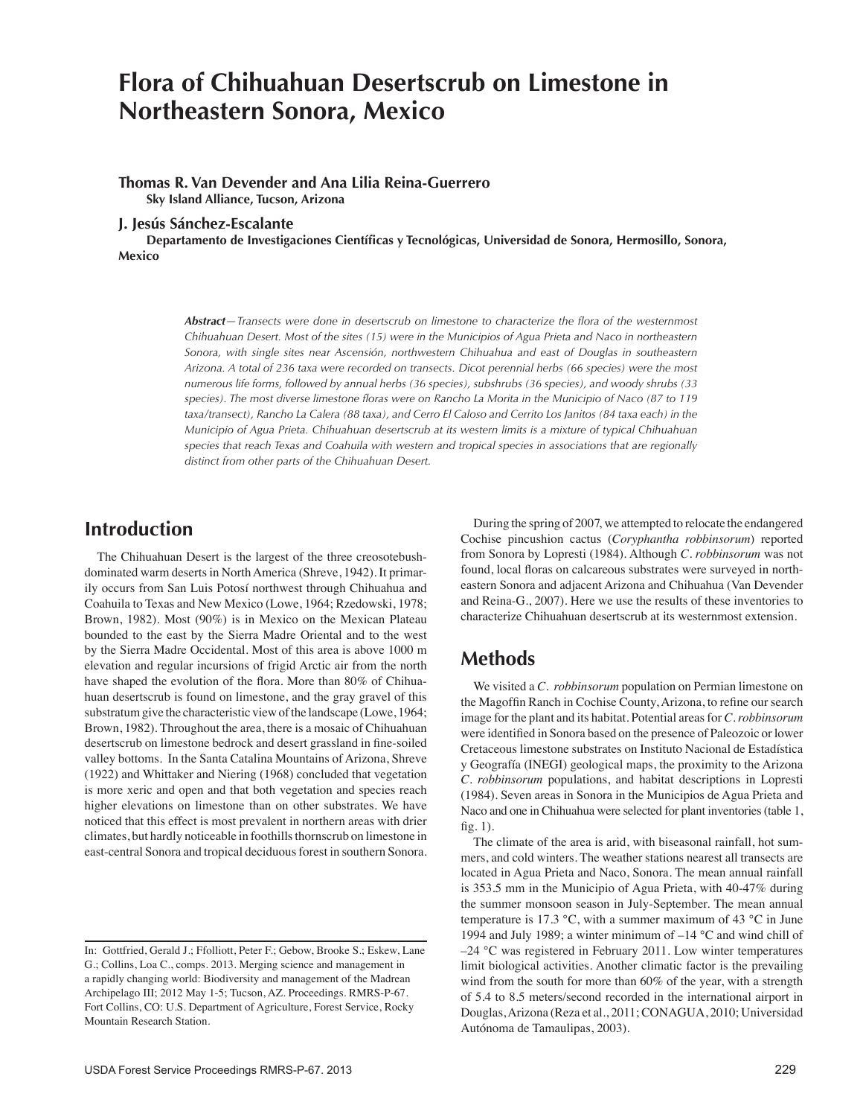# **Flora of Chihuahuan Desertscrub on Limestone in Northeastern Sonora, Mexico**

#### **Thomas R. Van Devender and Ana Lilia Reina-Guerrero Sky Island Alliance, Tucson, Arizona**

**J. Jesús Sánchez-Escalante**

**Departamento de Investigaciones Científicas y Tecnológicas, Universidad de Sonora, Hermosillo, Sonora, Mexico**

> *Abstract—Transects were done in desertscrub on limestone to characterize the flora of the westernmost Chihuahuan Desert. Most of the sites (15) were in the Municipios of Agua Prieta and Naco in northeastern Sonora, with single sites near Ascensión, northwestern Chihuahua and east of Douglas in southeastern Arizona. A total of 236 taxa were recorded on transects. Dicot perennial herbs (66 species) were the most numerous life forms, followed by annual herbs (36 species), subshrubs (36 species), and woody shrubs (33 species). The most diverse limestone floras were on Rancho La Morita in the Municipio of Naco (87 to 119 taxa/transect), Rancho La Calera (88 taxa), and Cerro El Caloso and Cerrito Los Janitos (84 taxa each) in the Municipio of Agua Prieta. Chihuahuan desertscrub at its western limits is a mixture of typical Chihuahuan species that reach Texas and Coahuila with western and tropical species in associations that are regionally distinct from other parts of the Chihuahuan Desert.*

## **Introduction**

 The Chihuahuan Desert is the largest of the three creosotebushdominated warm deserts in North America (Shreve, 1942). It primarily occurs from San Luis Potosí northwest through Chihuahua and Coahuila to Texas and New Mexico (Lowe, 1964; Rzedowski, 1978; Brown, 1982). Most (90%) is in Mexico on the Mexican Plateau bounded to the east by the Sierra Madre Oriental and to the west by the Sierra Madre Occidental. Most of this area is above 1000 m elevation and regular incursions of frigid Arctic air from the north have shaped the evolution of the flora. More than 80% of Chihuahuan desertscrub is found on limestone, and the gray gravel of this substratum give the characteristic view of the landscape (Lowe, 1964; Brown, 1982). Throughout the area, there is a mosaic of Chihuahuan desertscrub on limestone bedrock and desert grassland in fine-soiled valley bottoms. In the Santa Catalina Mountains of Arizona, Shreve (1922) and Whittaker and Niering (1968) concluded that vegetation is more xeric and open and that both vegetation and species reach higher elevations on limestone than on other substrates. We have noticed that this effect is most prevalent in northern areas with drier climates, but hardly noticeable in foothills thornscrub on limestone in east-central Sonora and tropical deciduous forest in southern Sonora.

 During the spring of 2007, we attempted to relocate the endangered Cochise pincushion cactus (*Coryphantha robbinsorum*) reported from Sonora by Lopresti (1984). Although *C. robbinsorum* was not found, local floras on calcareous substrates were surveyed in northeastern Sonora and adjacent Arizona and Chihuahua (Van Devender and Reina-G., 2007). Here we use the results of these inventories to characterize Chihuahuan desertscrub at its westernmost extension.

## **Methods**

 We visited a *C. robbinsorum* population on Permian limestone on the Magoffin Ranch in Cochise County, Arizona, to refine our search image for the plant and its habitat. Potential areas for *C. robbinsorum* were identified in Sonora based on the presence of Paleozoic or lower Cretaceous limestone substrates on Instituto Nacional de Estadística y Geografía (INEGI) geological maps, the proximity to the Arizona *C. robbinsorum* populations, and habitat descriptions in Lopresti (1984). Seven areas in Sonora in the Municipios de Agua Prieta and Naco and one in Chihuahua were selected for plant inventories(table 1, fig. 1).

 The climate of the area is arid, with biseasonal rainfall, hot summers, and cold winters. The weather stations nearest all transects are located in Agua Prieta and Naco, Sonora. The mean annual rainfall is 353.5 mm in the Municipio of Agua Prieta, with 40-47% during the summer monsoon season in July-September. The mean annual temperature is 17.3 °C, with a summer maximum of 43 °C in June 1994 and July 1989; a winter minimum of –14 °C and wind chill of –24 °C was registered in February 2011. Low winter temperatures limit biological activities. Another climatic factor is the prevailing wind from the south for more than 60% of the year, with a strength of 5.4 to 8.5 meters/second recorded in the international airport in Douglas,Arizona (Reza et al., 2011;CONAGUA, 2010; Universidad Autónoma de Tamaulipas, 2003).

In: Gottfried, Gerald J.; Ffolliott, Peter F.; Gebow, Brooke S.; Eskew, Lane G.; Collins, Loa C., comps. 2013. Merging science and management in a rapidly changing world: Biodiversity and management of the Madrean Archipelago III; 2012 May 1-5; Tucson, AZ. Proceedings. RMRS-P-67. Fort Collins, CO: U.S. Department of Agriculture, Forest Service, Rocky Mountain Research Station.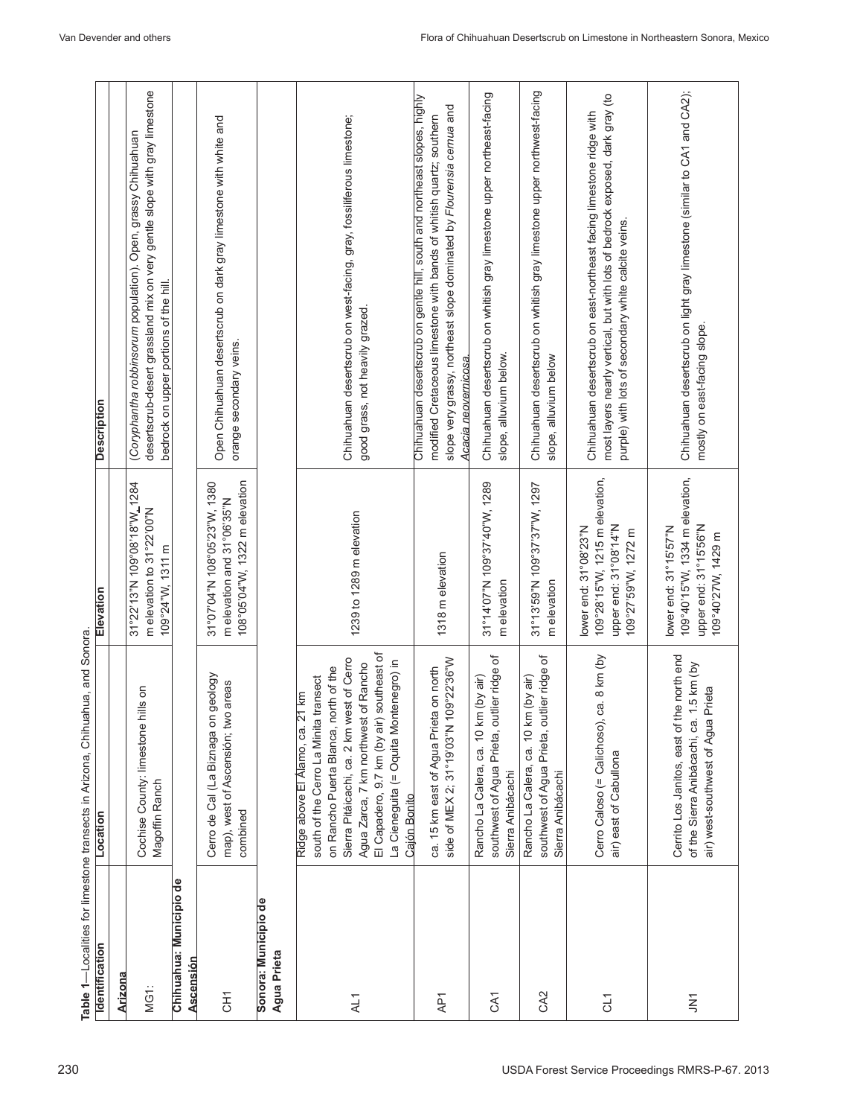|                                         | Table 1-Localities for limestone transects in Arizona, Chihuahua, and Sonora                                                                                                                                                                                                                                     |                                                                                                         |                                                                                                                                                                                                                                                    |
|-----------------------------------------|------------------------------------------------------------------------------------------------------------------------------------------------------------------------------------------------------------------------------------------------------------------------------------------------------------------|---------------------------------------------------------------------------------------------------------|----------------------------------------------------------------------------------------------------------------------------------------------------------------------------------------------------------------------------------------------------|
| <b>Identification</b>                   | Location                                                                                                                                                                                                                                                                                                         | Elevation                                                                                               | <b>Description</b>                                                                                                                                                                                                                                 |
| Arizona                                 |                                                                                                                                                                                                                                                                                                                  |                                                                                                         |                                                                                                                                                                                                                                                    |
| MG1:                                    | $\frac{1}{2}$<br>Cochise County: limestone hil<br>Magoffin Ranch                                                                                                                                                                                                                                                 | 31°22'13"N 109°08'18"W_1284<br>m elevation to 31°22'00"N<br>109°24"W, 1311 m                            | desertscrub-desert grassland mix on very gentle slope with gray limestone<br>(Coryphantha robbinsorum population). Open, grassy Chihuahuan<br>bedrock on upper portions of the hill                                                                |
| Ъe<br>Chihuahua: Municipio<br>Ascensión |                                                                                                                                                                                                                                                                                                                  |                                                                                                         |                                                                                                                                                                                                                                                    |
| ĒБ                                      | Cerro de Cal (La Biznaga on geology<br>areas<br>map), west of Ascensión; two<br>combined                                                                                                                                                                                                                         | 108°05'04" W, 1322 m elevation<br>31°04"N 108°05'23"W, 1380<br>m elevation and 31°06'35"N               | Open Chihuahuan desertscrub on dark gray limestone with white and<br>orange secondary veins.                                                                                                                                                       |
| Sonora: Municipio de<br>Agua Prieta     |                                                                                                                                                                                                                                                                                                                  |                                                                                                         |                                                                                                                                                                                                                                                    |
| AL1                                     | El Capadero, 9.7 km (by air) southeast of<br>Sierra Pitáicachi, ca. 2 km west of Cerro<br>La Cieneguita (= Oquita Montenegro) in<br>Agua Zarca, 7 km northwest of Rancho<br>on Rancho Puerta Blanca, north of the<br>south of the Cerro La Minita transect<br>km<br>Ridge above El Alamo, ca. 21<br>Cajón Bonito | 1239 to 1289 m elevation                                                                                | Chihuahuan desertscrub on west-facing, gray, fossiliferous limestone;<br>good grass, not heavily grazed                                                                                                                                            |
| AP1                                     | side of MEX 2; 31°19'03"N 109°22'36"W<br>on north<br>ca. 15 km east of Agua Prieta                                                                                                                                                                                                                               | 1318 m elevation                                                                                        | Chihuahuan desertscrub on gentle hill, south and northeast slopes, highly<br>slope very grassy, northeast slope dominated by Flourensia cernua and<br>modified Cretaceous limestone with bands of whitish quartz; southern<br>Acacia neovernicosa. |
| CA1                                     | er ridge of<br>(by air)<br>southwest of Agua Prieta, outli<br>Rancho La Calera, ca. 10 km<br>Sierra Anibácachi                                                                                                                                                                                                   | 31°14'07"N 109°37'40"W, 1289<br>m elevation                                                             | Chihuahuan desertscrub on whitish gray limestone upper northeast-facing<br>slope, alluvium below.                                                                                                                                                  |
| CA <sub>2</sub>                         | southwest of Agua Prieta, outlier ridge of<br>(by air)<br>Rancho La Calera, ca. 10 km<br>Sierra Anibácachi                                                                                                                                                                                                       | 31°13'59"N 109°37'37"W, 1297<br>m elevation                                                             | Chihuahuan desertscrub on whitish gray limestone upper northwest-facing<br>slope, alluvium below                                                                                                                                                   |
| CL <sub>1</sub>                         | 8 km (by<br>Cerro Caloso (= Calichoso), ca.<br>air) east of Cabullona                                                                                                                                                                                                                                            | 109°28'15"W, 1215 m elevation,<br>upper end: 31°08'14"N<br>lower end: 31°08'23"N<br>109°27'59"W, 1272 m | most layers nearly vertical, but with lots of bedrock exposed, dark gray (to<br>Chihuahuan desertscrub on east-northeast facing limestone ridge with<br>purple) with lots of secondary white calcite veins.                                        |
| ξ                                       | Cerrito Los Janitos, east of the north end<br>.5 km (by<br>air) west-southwest of Agua Prieta<br>of the Sierra Anibácachi, ca. 1                                                                                                                                                                                 | 109°40'15"W, 1334 m elevation,<br>upper end: 31°15'56"N<br>lower end: 31°15'57"N<br>109°40'27W, 1429 m  | Chihuahuan desertscrub on light gray limestone (similar to CA1 and CA2);<br>mostly on east-facing slope.                                                                                                                                           |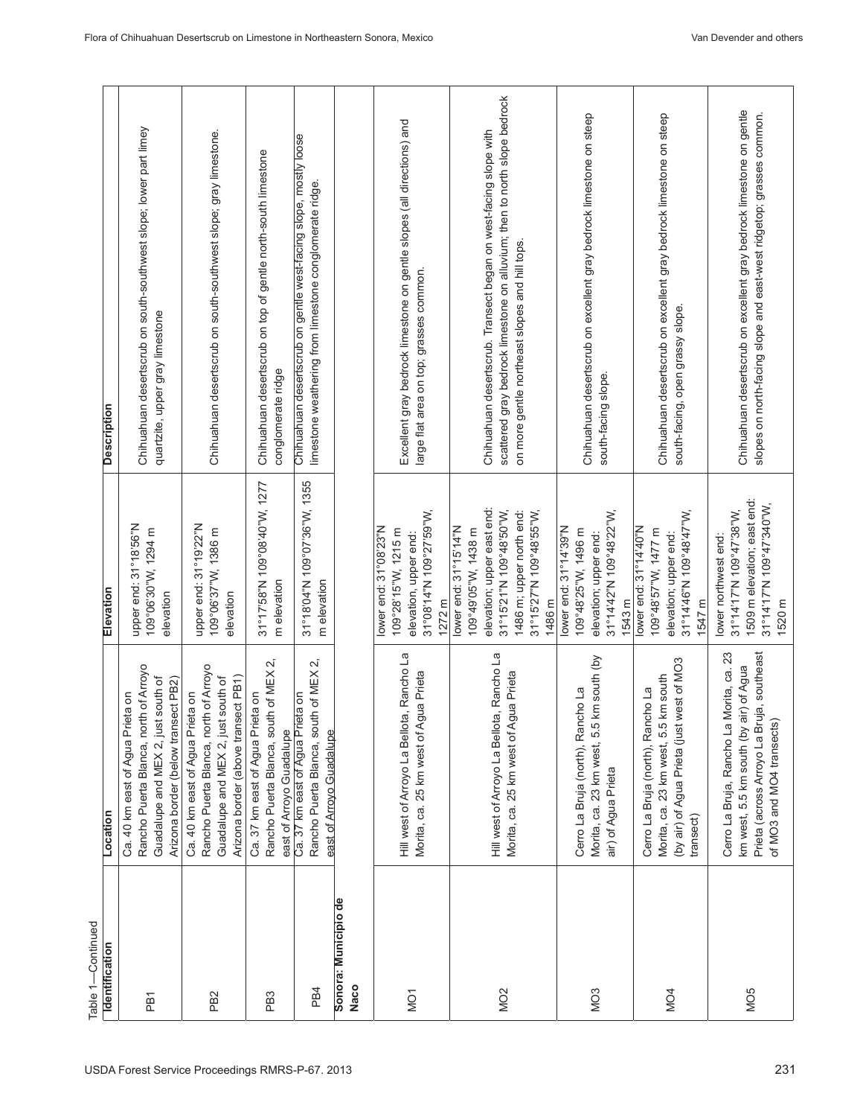| Table 1-Continued            |                                                                                                                                                                 |                                                                                                                                                                        |                                                                                                                                                                                                 |
|------------------------------|-----------------------------------------------------------------------------------------------------------------------------------------------------------------|------------------------------------------------------------------------------------------------------------------------------------------------------------------------|-------------------------------------------------------------------------------------------------------------------------------------------------------------------------------------------------|
| Identification               | Location                                                                                                                                                        | Elevation                                                                                                                                                              | <b>Description</b>                                                                                                                                                                              |
| PB1                          | Rancho Puerta Blanca, north of Arroyo<br>Guadalupe and MEX 2, just south of<br>Arizona border (below transect PB2)<br>Ca. 40 km east of Agua Prieta on          | upper end: 31°18'56"N<br>109°06'30"W, 1294 m<br>elevation                                                                                                              | Chihuahuan desertscrub on south-southwest slope; lower part limey<br>quartzite, upper gray limestone                                                                                            |
| PB <sub>2</sub>              | Rancho Puerta Blanca, north of Arroyo<br>Arizona border (above transect PB1)<br>Guadalupe and MEX 2, just south of<br>Ca. 40 km east of Agua Prieta on          | upper end: 31°19'22"N<br>109°06'37"W, 1386 m<br>elevation                                                                                                              | Chihuahuan desertscrub on south-southwest slope; gray limestone.                                                                                                                                |
| PB <sub>3</sub>              | Rancho Puerta Blanca, south of MEX 2,<br>Ca. 37 km east of Agua Prieta on<br>east of Arroyo Guadalupe                                                           | 31°17'58"N 109°08'40"W, 1277<br>m elevation                                                                                                                            | Chihuahuan desertscrub on top of gentle north-south limestone<br>conglomerate ridge                                                                                                             |
| PB <sub>4</sub>              | Rancho Puerta Blanca, south of MEX 2,<br>Ca. 37 km east of Agua Prieta on<br>east of Arroyo Guadalupe                                                           | 31°18'04"N 109°07'36"W, 1355<br>m elevation                                                                                                                            | Chihuahuan desertscrub on gentle west-facing slope, mostly loose<br>limestone weathering from limestone conglomerate ridge.                                                                     |
| Sonora: Municipio de<br>Naco |                                                                                                                                                                 |                                                                                                                                                                        |                                                                                                                                                                                                 |
| NO <sub>1</sub>              | Hill west of Arroyo La Bellota, Rancho La<br>Morita, ca. 25 km west of Agua Prieta                                                                              | 31°08'14"N 109°27'59"W,<br>lower end: 31°08'23"N<br>109°28'15"W, 1215 m<br>elevation, upper end:<br>1272 m                                                             | Excellent gray bedrock limestone on gentle slopes (all directions) and<br>large flat area on top; grasses common.                                                                               |
| MO <sub>2</sub>              | Hill west of Arroyo La Bellota, Rancho La<br>Morita, ca. 25 km west of Agua Prieta                                                                              | elevation; upper east end:<br>31°15'21"N 109°48'50"W,<br>31°15'27"N 109°48'55"W,<br>1486 m; upper north end:<br>lower end: 31°15'14"N<br>109°49'05"W, 1438 m<br>1486 m | scattered gray bedrock limestone on alluvium; then to north slope bedrock<br>Chihuahuan desertscrub. Transect began on west-facing slope with<br>on more gentle northeast slopes and hill tops. |
| MO <sub>3</sub>              | Morita, ca. 23 km west, 5.5 km south (by<br>Cerro La Bruja (north), Rancho La<br>air) of Agua Prieta                                                            | 31°14'42"N 109°48'22"W,<br>lower end: 31°14'39"N<br>109°48'25"W, 1496 m<br>elevation; upper end:<br>1543 m                                                             | Chihuahuan desertscrub on excellent gray bedrock limestone on steep<br>south-facing slope.                                                                                                      |
| MO <sub>4</sub>              | (by air) of Agua Prieta (just west of MO3<br>Morita, ca. 23 km west, 5.5 km south<br>Cerro La Bruja (north), Rancho La<br>transect)                             | 31°14'46" N 109°48'47" W,<br>lower end: 31°14'40"N<br>109°48'57"W, 1477 m<br>elevation; upper end:<br>1547 m                                                           | Chihuahuan desertscrub on excellent gray bedrock limestone on steep<br>south-facing, open grassy slope.                                                                                         |
| MO <sub>5</sub>              | Cerro La Bruja, Rancho La Morita, ca. 23<br>Prieta (across Arroyo La Bruja, southeast<br>air) of Agua<br>of MO3 and MO4 transects)<br>km west, 5.5 km south (by | 1509 m elevation; east end:<br>31°14'17"N 109°47'340"W,<br>31°14'17"N 109°47'38"W,<br>lower northwest end:<br>1520 m                                                   | Chihuahuan desertscrub on excellent gray bedrock limestone on gentle<br>slopes on north-facing slope and east-west ridgetop; grasses common.                                                    |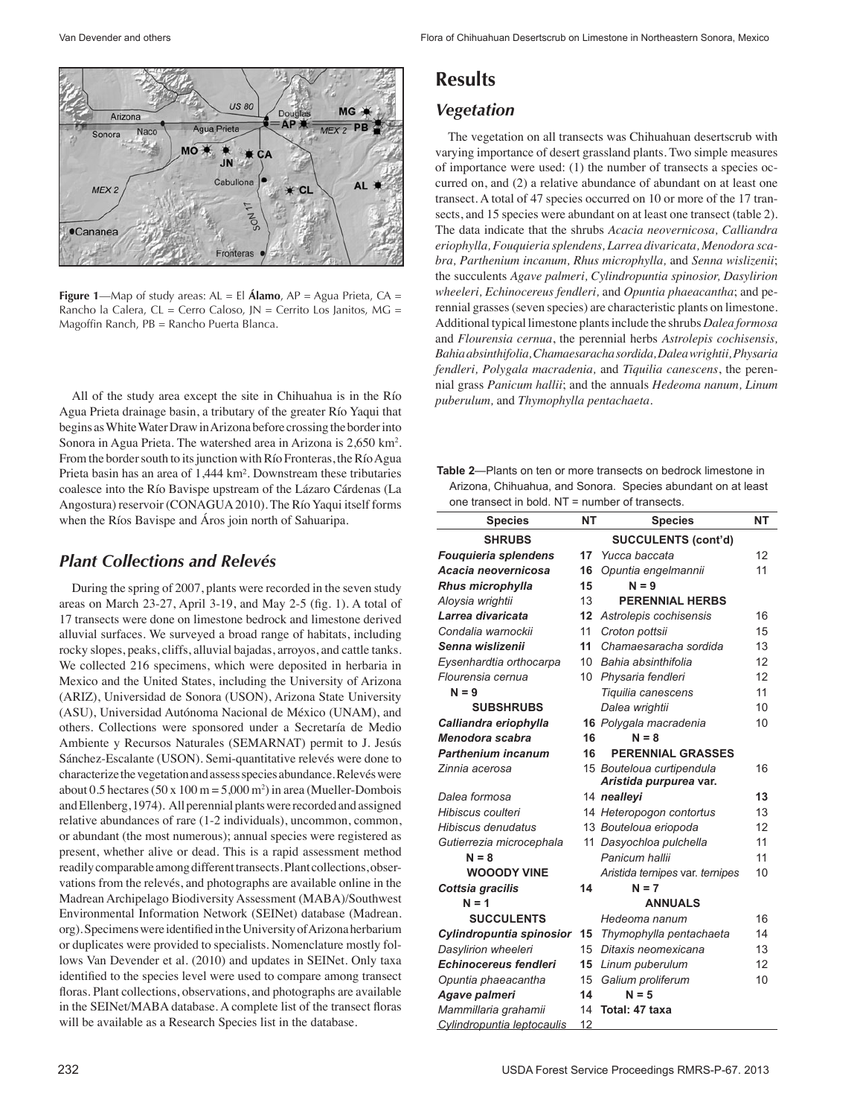

**Figure 1**—Map of study areas: AL = El **Álamo**, AP = Agua Prieta, CA = Rancho la Calera, CL = Cerro Caloso, JN = Cerrito Los Janitos, MG = Magoffin Ranch, PB = Rancho Puerta Blanca.

 All of the study area except the site in Chihuahua is in the Río Agua Prieta drainage basin, a tributary of the greater Río Yaqui that begins as White Water Draw in Arizona before crossing the border into Sonora in Agua Prieta. The watershed area in Arizona is 2,650 km<sup>2</sup>. From the border south to its junction with Río Fronteras, the Río Agua Prieta basin has an area of 1,444 km². Downstream these tributaries coalesce into the Río Bavispe upstream of the Lázaro Cárdenas (La Angostura) reservoir (CONAGUA2010). The Río Yaqui itself forms when the Ríos Bavispe and Áros join north of Sahuaripa.

### *Plant Collections and Relevés*

 During the spring of 2007, plants were recorded in the seven study areas on March 23-27, April 3-19, and May 2-5 (fig. 1). A total of 17 transects were done on limestone bedrock and limestone derived alluvial surfaces. We surveyed a broad range of habitats, including rocky slopes, peaks, cliffs, alluvial bajadas, arroyos, and cattle tanks. We collected 216 specimens, which were deposited in herbaria in Mexico and the United States, including the University of Arizona (ARIZ), Universidad de Sonora (USON), Arizona State University (ASU), Universidad Autónoma Nacional de México (UNAM), and others. Collections were sponsored under a Secretaría de Medio Ambiente y Recursos Naturales (SEMARNAT) permit to J. Jesús Sánchez-Escalante (USON). Semi-quantitative relevés were done to characterize the vegetation and assess species abundance. Relevés were about 0.5 hectares (50 x  $100 \text{ m} = 5,000 \text{ m}^2$ ) in area (Mueller-Dombois and Ellenberg, 1974). All perennial plants were recorded and assigned relative abundances of rare (1-2 individuals), uncommon, common, or abundant (the most numerous); annual species were registered as present, whether alive or dead. This is a rapid assessment method readily comparable among different transects. Plant collections, observations from the relevés, and photographs are available online in the Madrean Archipelago Biodiversity Assessment (MABA)/Southwest Environmental Information Network (SEINet) database (Madrean. org).Specimenswere identifiedintheUniversityofArizonaherbarium or duplicates were provided to specialists. Nomenclature mostly follows Van Devender et al. (2010) and updates in SEINet. Only taxa identified to the species level were used to compare among transect floras. Plant collections, observations, and photographs are available in the SEINet/MABA database. A complete list of the transect floras will be available as a Research Species list in the database.

| <b>Results</b> |
|----------------|
|----------------|

### *Vegetation*

 The vegetation on all transects was Chihuahuan desertscrub with varying importance of desert grassland plants. Two simple measures of importance were used: (1) the number of transects a species occurred on, and (2) a relative abundance of abundant on at least one transect. A total of 47 species occurred on 10 or more of the 17 transects, and 15 species were abundant on at least one transect (table 2). The data indicate that the shrubs *Acacia neovernicosa, Calliandra eriophylla, Fouquieria splendens, Larrea divaricata, Menodora scabra, Parthenium incanum, Rhus microphylla,* and *Senna wislizenii*; the succulents *Agave palmeri, Cylindropuntia spinosior, Dasylirion wheeleri, Echinocereus fendleri,* and *Opuntia phaeacantha*; and perennial grasses(seven species) are characteristic plants on limestone. Additional typical limestone plantsinclude the shrubs *Dalea formosa*  and *Flourensia cernua*, the perennial herbs *Astrolepis cochisensis, Bahia absinthifolia, Chamaesaracha sordida, Dalea wrightii, Physaria fendleri, Polygala macradenia,* and *Tiquilia canescens*, the perennial grass *Panicum hallii*; and the annuals *Hedeoma nanum, Linum puberulum,* and *Thymophylla pentachaeta*.

| <b>Table 2—Plants on ten or more transects on bedrock limestone in</b> |  |
|------------------------------------------------------------------------|--|
| Arizona, Chihuahua, and Sonora. Species abundant on at least           |  |
| one transect in bold. $NT =$ number of transects.                      |  |

| <b>Species</b>               | <b>NT</b> | <b>Species</b>                                      | <b>NT</b> |
|------------------------------|-----------|-----------------------------------------------------|-----------|
| <b>SHRUBS</b>                |           | <b>SUCCULENTS (cont'd)</b>                          |           |
| Fouquieria splendens         | 17        | Yucca baccata                                       | 12        |
| Acacia neovernicosa          | 16        | Opuntia engelmannii                                 | 11        |
| Rhus microphylla             | 15        | $N = 9$                                             |           |
| Aloysia wrightii             | 13        | <b>PERENNIAL HERBS</b>                              |           |
| Larrea divaricata            | 12        | Astrolepis cochisensis                              | 16        |
| Condalia warnockii           | 11        | Croton pottsii                                      | 15        |
| Senna wislizenii             | 11        | Chamaesaracha sordida                               | 13        |
| Eysenhardtia orthocarpa      | 10        | Bahia absinthifolia                                 | 12        |
| Flourensia cernua            | 10        | Physaria fendleri                                   | 12        |
| $N = 9$                      |           | Tiquilia canescens                                  | 11        |
| <b>SUBSHRUBS</b>             |           | Dalea wrightii                                      | 10        |
| Calliandra eriophylla        |           | 16 Polygala macradenia                              | 10        |
| Menodora scabra              | 16        | $N = 8$                                             |           |
| <b>Parthenium incanum</b>    | 16        | <b>PERENNIAL GRASSES</b>                            |           |
| Zinnia acerosa               |           | 15 Bouteloua curtipendula<br>Aristida purpurea var. | 16        |
| Dalea formosa                |           | 14 nealleyi                                         | 13        |
| Hibiscus coulteri            |           | 14 Heteropogon contortus                            | 13        |
| Hibiscus denudatus           |           | 13 Bouteloua eriopoda                               | 12        |
| Gutierrezia microcephala     |           | 11 Dasyochloa pulchella                             | 11        |
| $N = 8$                      |           | Panicum hallii                                      | 11        |
| <b>WOOODY VINE</b>           |           | Aristida ternipes var. ternipes                     | 10        |
| Cottsia gracilis             | 14        | $N = 7$                                             |           |
| $N = 1$                      |           | <b>ANNUALS</b>                                      |           |
| <b>SUCCULENTS</b>            |           | Hedeoma nanum                                       | 16        |
| Cylindropuntia spinosior     | 15        | Thymophylla pentachaeta                             | 14        |
| Dasylirion wheeleri          | 15        | Ditaxis neomexicana                                 | 13        |
| <b>Echinocereus fendleri</b> | 15        | Linum puberulum                                     | 12        |
| Opuntia phaeacantha          | 15        | Galium proliferum                                   | 10        |
| Agave palmeri                | 14        | $N = 5$                                             |           |
| Mammillaria grahamii         | 14        | Total: 47 taxa                                      |           |
| Cylindropuntia leptocaulis   | 12        |                                                     |           |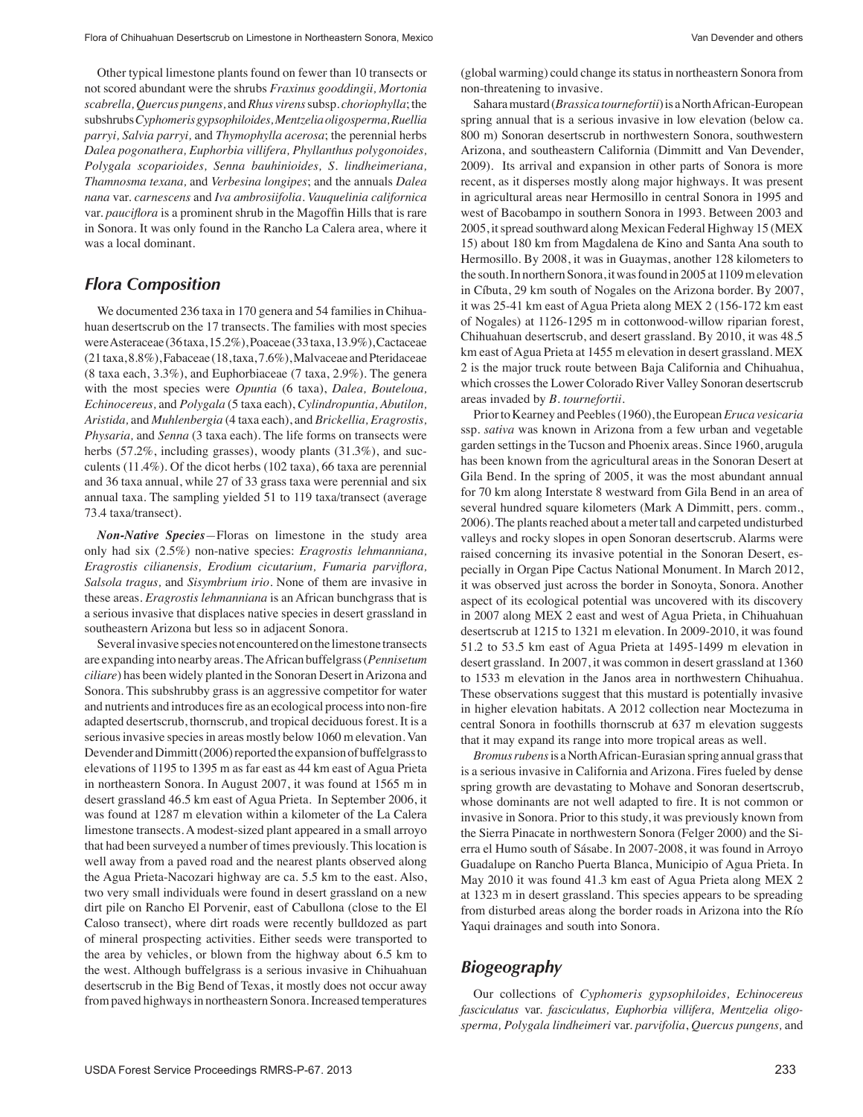Other typical limestone plants found on fewer than 10 transects or not scored abundant were the shrubs *Fraxinus gooddingii, Mortonia scabrella, Quercus pungens,* and*Rhus virens* subsp. *choriophylla*; the subshrubs*Cyphomeris gypsophiloides, Mentzelia oligosperma,Ruellia parryi, Salvia parryi,* and *Thymophylla acerosa*; the perennial herbs *Dalea pogonathera, Euphorbia villifera, Phyllanthus polygonoides, Polygala scoparioides, Senna bauhinioides, S. lindheimeriana, Thamnosma texana,* and *Verbesina longipes*; and the annuals *Dalea nana* var. *carnescens* and *Iva ambrosiifolia*. *Vauquelinia californica*  var. *pauciflora* is a prominent shrub in the Magoffin Hills that is rare in Sonora. It was only found in the Rancho La Calera area, where it was a local dominant.

#### *Flora Composition*

We documented 236 taxa in 170 genera and 54 families in Chihuahuan desertscrub on the 17 transects. The families with most species wereAsteraceae(36taxa,15.2%),Poaceae(33taxa,13.9%),Cactaceae (21taxa,8.8%),Fabaceae (18,taxa,7.6%),Malvaceae andPteridaceae (8 taxa each, 3.3%), and Euphorbiaceae (7 taxa, 2.9%). The genera with the most species were *Opuntia* (6 taxa), *Dalea, Bouteloua, Echinocereus,* and *Polygala* (5 taxa each), *Cylindropuntia, Abutilon, Aristida,* and *Muhlenbergia* (4 taxa each), and *Brickellia, Eragrostis, Physaria,* and *Senna* (3 taxa each). The life forms on transects were herbs (57.2%, including grasses), woody plants (31.3%), and succulents (11.4%). Of the dicot herbs (102 taxa), 66 taxa are perennial and 36 taxa annual, while 27 of 33 grass taxa were perennial and six annual taxa. The sampling yielded 51 to 119 taxa/transect (average 73.4 taxa/transect).

*Non-Native Species—*Floras on limestone in the study area only had six (2.5%) non-native species: *Eragrostis lehmanniana, Eragrostis cilianensis, Erodium cicutarium, Fumaria parviflora, Salsola tragus,* and *Sisymbrium irio.* None of them are invasive in these areas. *Eragrostis lehmanniana* is an African bunchgrass that is a serious invasive that displaces native species in desert grassland in southeastern Arizona but less so in adjacent Sonora.

Several invasive species not encountered on the limestone transects are expanding into nearby areas.TheAfrican buffelgrass(*Pennisetum ciliare*) has been widely planted in the Sonoran Desert inArizona and Sonora. This subshrubby grass is an aggressive competitor for water and nutrients and introduces fire as an ecological processinto non-fire adapted desertscrub, thornscrub, and tropical deciduous forest. It is a serious invasive species in areas mostly below 1060 m elevation. Van Devender and Dimmitt (2006) reported the expansion of buffelgrass to elevations of 1195 to 1395 m as far east as 44 km east of Agua Prieta in northeastern Sonora. In August 2007, it was found at 1565 m in desert grassland 46.5 km east of Agua Prieta. In September 2006, it was found at 1287 m elevation within a kilometer of the La Calera limestone transects. Amodest-sized plant appeared in a small arroyo that had been surveyed a number of times previously. Thislocation is well away from a paved road and the nearest plants observed along the Agua Prieta-Nacozari highway are ca. 5.5 km to the east. Also, two very small individuals were found in desert grassland on a new dirt pile on Rancho El Porvenir, east of Cabullona (close to the El Caloso transect), where dirt roads were recently bulldozed as part of mineral prospecting activities. Either seeds were transported to the area by vehicles, or blown from the highway about 6.5 km to the west. Although buffelgrass is a serious invasive in Chihuahuan desertscrub in the Big Bend of Texas, it mostly does not occur away from paved highways in northeastern Sonora. Increased temperatures (global warming) could change itsstatusin northeastern Sonora from non-threatening to invasive.

Sahara mustard (*Brassica tournefortii*) is a North African-European spring annual that is a serious invasive in low elevation (below ca. 800 m) Sonoran desertscrub in northwestern Sonora, southwestern Arizona, and southeastern California (Dimmitt and Van Devender, 2009). Its arrival and expansion in other parts of Sonora is more recent, as it disperses mostly along major highways. It was present in agricultural areas near Hermosillo in central Sonora in 1995 and west of Bacobampo in southern Sonora in 1993. Between 2003 and 2005, it spread southward along Mexican Federal Highway 15 (MEX 15) about 180 km from Magdalena de Kino and Santa Ana south to Hermosillo. By 2008, it was in Guaymas, another 128 kilometers to the south. In northern Sonora, it was found in 2005 at 1109 m elevation in Cíbuta, 29 km south of Nogales on the Arizona border. By 2007, it was 25-41 km east of Agua Prieta along MEX 2 (156-172 km east of Nogales) at 1126-1295 m in cottonwood-willow riparian forest, Chihuahuan desertscrub, and desert grassland. By 2010, it was 48.5 km east of Agua Prieta at 1455 m elevation in desert grassland. MEX 2 is the major truck route between Baja California and Chihuahua, which crosses the Lower Colorado River Valley Sonoran desertscrub areas invaded by *B. tournefortii.*

Prior to Kearney and Peebles (1960), the European *Eruca vesicaria* ssp. *sativa* was known in Arizona from a few urban and vegetable garden settings in the Tucson and Phoenix areas. Since 1960, arugula has been known from the agricultural areas in the Sonoran Desert at Gila Bend. In the spring of 2005, it was the most abundant annual for 70 km along Interstate 8 westward from Gila Bend in an area of several hundred square kilometers (Mark A Dimmitt, pers. comm., 2006). The plants reached about a meter tall and carpeted undisturbed valleys and rocky slopes in open Sonoran desertscrub. Alarms were raised concerning its invasive potential in the Sonoran Desert, especially in Organ Pipe Cactus National Monument. In March 2012, it was observed just across the border in Sonoyta, Sonora. Another aspect of its ecological potential was uncovered with its discovery in 2007 along MEX 2 east and west of Agua Prieta, in Chihuahuan desertscrub at 1215 to 1321 m elevation. In 2009-2010, it was found 51.2 to 53.5 km east of Agua Prieta at 1495-1499 m elevation in desert grassland. In 2007, it was common in desert grassland at 1360 to 1533 m elevation in the Janos area in northwestern Chihuahua. These observations suggest that this mustard is potentially invasive in higher elevation habitats. A 2012 collection near Moctezuma in central Sonora in foothills thornscrub at 637 m elevation suggests that it may expand its range into more tropical areas as well.

*Bromus rubens* is aNorthAfrican-Eurasian spring annual grassthat is a serious invasive in California and Arizona. Fires fueled by dense spring growth are devastating to Mohave and Sonoran desertscrub, whose dominants are not well adapted to fire. It is not common or invasive in Sonora. Prior to this study, it was previously known from the Sierra Pinacate in northwestern Sonora (Felger 2000) and the Sierra el Humo south of Sásabe. In 2007-2008, it was found in Arroyo Guadalupe on Rancho Puerta Blanca, Municipio of Agua Prieta. In May 2010 it was found 41.3 km east of Agua Prieta along MEX 2 at 1323 m in desert grassland. This species appears to be spreading from disturbed areas along the border roads in Arizona into the Río Yaqui drainages and south into Sonora.

#### *Biogeography*

 Our collections of *Cyphomeris gypsophiloides, Echinocereus fasciculatus* var. *fasciculatus, Euphorbia villifera, Mentzelia oligosperma, Polygala lindheimeri* var. *parvifolia*, *Quercus pungens,* and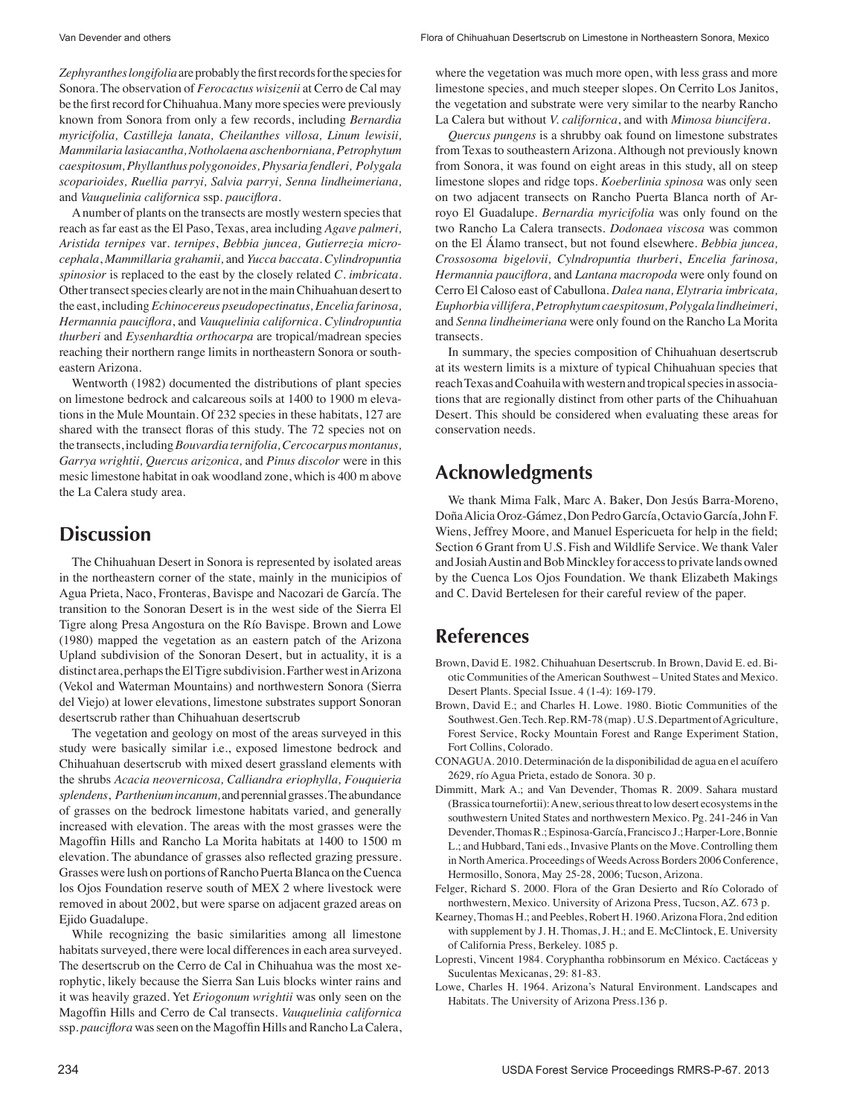Zephyranthes *longifolia* are probably the first records for the species for Sonora. The observation of *Ferocactus wisizenii* at Cerro de Cal may be the first record for Chihuahua. Many more species were previously known from Sonora from only a few records, including *Bernardia myricifolia, Castilleja lanata, Cheilanthes villosa, Linum lewisii, Mammilaria lasiacantha, Notholaena aschenborniana, Petrophytum caespitosum, Phyllanthus polygonoides, Physaria fendleri, Polygala scoparioides, Ruellia parryi, Salvia parryi, Senna lindheimeriana,*  and *Vauquelinia californica* ssp. *pauciflora.* 

 Anumber of plants on the transects are mostly western speciesthat reach as far east as the El Paso, Texas, area including *Agave palmeri, Aristida ternipes* var*. ternipes*, *Bebbia juncea, Gutierrezia microcephala*, *Mammillaria grahamii,* and *Yucca baccata. Cylindropuntia spinosior* is replaced to the east by the closely related *C. imbricata.*  Other transect species clearly are not in the main Chihuahuan desert to the east, including *Echinocereus pseudopectinatus, Encelia farinosa, Hermannia pauciflora*, and *Vauquelinia californica*. *Cylindropuntia thurberi* and *Eysenhardtia orthocarpa* are tropical/madrean species reaching their northern range limits in northeastern Sonora or southeastern Arizona.

 Wentworth (1982) documented the distributions of plant species on limestone bedrock and calcareous soils at 1400 to 1900 m elevations in the Mule Mountain. Of 232 species in these habitats, 127 are shared with the transect floras of this study. The 72 species not on the transects,including*Bouvardia ternifolia, Cercocarpus montanus, Garrya wrightii, Quercus arizonica,* and *Pinus discolor* were in this mesic limestone habitat in oak woodland zone, which is 400 m above the La Calera study area.

## **Discussion**

 The Chihuahuan Desert in Sonora is represented by isolated areas in the northeastern corner of the state, mainly in the municipios of Agua Prieta, Naco, Fronteras, Bavispe and Nacozari de García. The transition to the Sonoran Desert is in the west side of the Sierra El Tigre along Presa Angostura on the Río Bavispe. Brown and Lowe (1980) mapped the vegetation as an eastern patch of the Arizona Upland subdivision of the Sonoran Desert, but in actuality, it is a distinct area, perhaps the El Tigre subdivision. Farther west in Arizona (Vekol and Waterman Mountains) and northwestern Sonora (Sierra del Viejo) at lower elevations, limestone substrates support Sonoran desertscrub rather than Chihuahuan desertscrub

 The vegetation and geology on most of the areas surveyed in this study were basically similar i.e., exposed limestone bedrock and Chihuahuan desertscrub with mixed desert grassland elements with the shrubs *Acacia neovernicosa, Calliandra eriophylla, Fouquieria splendens*, *Parthenium incanum,* andperennialgrasses.Theabundance of grasses on the bedrock limestone habitats varied, and generally increased with elevation. The areas with the most grasses were the Magoffin Hills and Rancho La Morita habitats at 1400 to 1500 m elevation. The abundance of grasses also reflected grazing pressure. Grasses were lush on portions of Rancho Puerta Blanca on the Cuenca los Ojos Foundation reserve south of MEX 2 where livestock were removed in about 2002, but were sparse on adjacent grazed areas on Ejido Guadalupe.

 While recognizing the basic similarities among all limestone habitats surveyed, there were local differences in each area surveyed. The desertscrub on the Cerro de Cal in Chihuahua was the most xerophytic, likely because the Sierra San Luis blocks winter rains and it was heavily grazed. Yet *Eriogonum wrightii* was only seen on the Magoffin Hills and Cerro de Cal transects. *Vauquelinia californica*  ssp. *pauciflora* was seen on the Magoffin Hills and Rancho La Calera,

where the vegetation was much more open, with less grass and more limestone species, and much steeper slopes. On Cerrito Los Janitos, the vegetation and substrate were very similar to the nearby Rancho La Calera but without *V. californica*, and with *Mimosa biuncifera.* 

*Quercus pungens* is a shrubby oak found on limestone substrates from Texas to southeastern Arizona. Although not previously known from Sonora, it was found on eight areas in this study, all on steep limestone slopes and ridge tops. *Koeberlinia spinosa* was only seen on two adjacent transects on Rancho Puerta Blanca north of Arroyo El Guadalupe. *Bernardia myricifolia* was only found on the two Rancho La Calera transects. *Dodonaea viscosa* was common on the El Álamo transect, but not found elsewhere. *Bebbia juncea, Crossosoma bigelovii, Cylndropuntia thurberi*, *Encelia farinosa, Hermannia pauciflora,* and *Lantana macropoda* were only found on Cerro El Caloso east of Cabullona. *Dalea nana, Elytraria imbricata, Euphorbia villifera, Petrophytum caespitosum, Polygala lindheimeri,*  and *Senna lindheimeriana* were only found on the Rancho La Morita transects.

 In summary, the species composition of Chihuahuan desertscrub at its western limits is a mixture of typical Chihuahuan species that reach Texas and Coahuila with western and tropical species in associations that are regionally distinct from other parts of the Chihuahuan Desert. This should be considered when evaluating these areas for conservation needs.

## **Acknowledgments**

 We thank Mima Falk, Marc A. Baker, Don Jesús Barra-Moreno, DoñaAlicia Oroz-Gámez, Don Pedro García, Octavio García,John F. Wiens, Jeffrey Moore, and Manuel Espericueta for help in the field; Section 6 Grant from U.S. Fish and Wildlife Service. We thank Valer and Josiah Austin and Bob Minckley for access to private lands owned by the Cuenca Los Ojos Foundation. We thank Elizabeth Makings and C. David Bertelesen for their careful review of the paper.

## **References**

- Brown, David E. 1982. Chihuahuan Desertscrub. In Brown, David E. ed. Biotic Communities of theAmerican Southwest – United States and Mexico. Desert Plants. Special Issue. 4 (1-4): 169-179.
- Brown, David E.; and Charles H. Lowe. 1980. Biotic Communities of the Southwest.Gen.Tech.Rep.RM-78(map).U.S.DepartmentofAgriculture, Forest Service, Rocky Mountain Forest and Range Experiment Station, Fort Collins, Colorado.
- CONAGUA. 2010. Determinación de la disponibilidad de agua en el acuífero 2629, río Agua Prieta, estado de Sonora. 30 p.
- Dimmitt, Mark A.; and Van Devender, Thomas R. 2009. Sahara mustard (Brassica tournefortii): A new, serious threat to low desert ecosystems in the southwestern United States and northwestern Mexico. Pg. 241-246 in Van Devender,ThomasR.;Espinosa-García,Francisco J.;Harper-Lore,Bonnie L.; and Hubbard, Tani eds., Invasive Plants on the Move. Controlling them in North America. Proceedings of Weeds Across Borders 2006 Conference, Hermosillo, Sonora, May 25-28, 2006; Tucson, Arizona.
- Felger, Richard S. 2000. Flora of the Gran Desierto and Río Colorado of northwestern, Mexico. University of Arizona Press, Tucson, AZ. 673 p.
- Kearney,Thomas H.; and Peebles, Robert H. 1960.Arizona Flora, 2nd edition with supplement by J. H. Thomas, J. H.; and E. McClintock, E. University of California Press, Berkeley. 1085 p.
- Lopresti, Vincent 1984. Coryphantha robbinsorum en México. Cactáceas y Suculentas Mexicanas, 29: 81-83.
- Lowe, Charles H. 1964. Arizona's Natural Environment. Landscapes and Habitats. The University of Arizona Press.136 p.